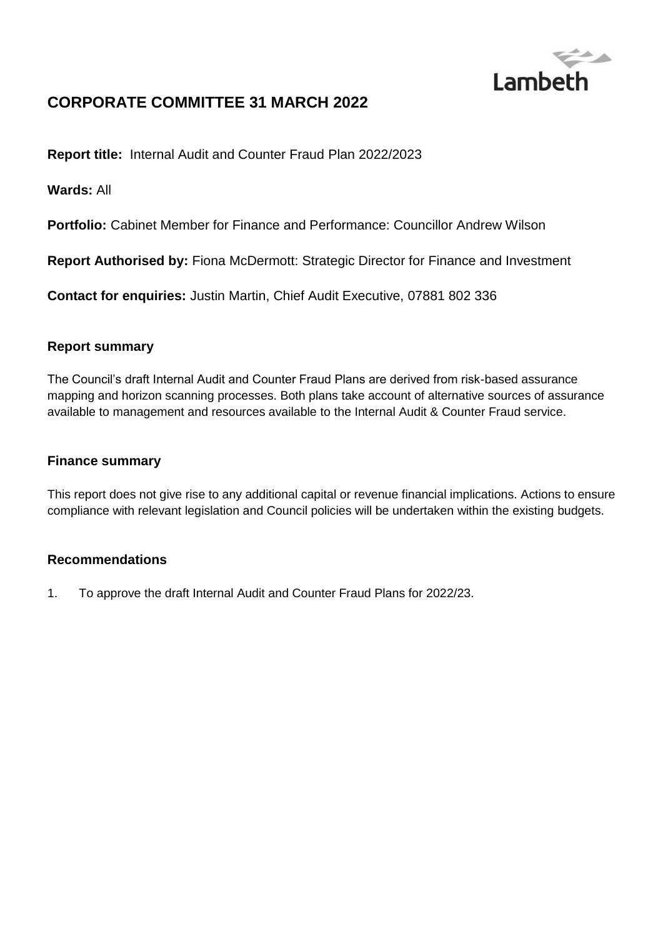

## **CORPORATE COMMITTEE 31 MARCH 2022**

**Report title:** Internal Audit and Counter Fraud Plan 2022/2023

**Wards:** All

**Portfolio:** Cabinet Member for Finance and Performance: Councillor Andrew Wilson

**Report Authorised by:** Fiona McDermott: Strategic Director for Finance and Investment

**Contact for enquiries:** Justin Martin, Chief Audit Executive, 07881 802 336

#### **Report summary**

The Council's draft Internal Audit and Counter Fraud Plans are derived from risk-based assurance mapping and horizon scanning processes. Both plans take account of alternative sources of assurance available to management and resources available to the Internal Audit & Counter Fraud service.

#### **Finance summary**

This report does not give rise to any additional capital or revenue financial implications. Actions to ensure compliance with relevant legislation and Council policies will be undertaken within the existing budgets.

#### **Recommendations**

1. To approve the draft Internal Audit and Counter Fraud Plans for 2022/23.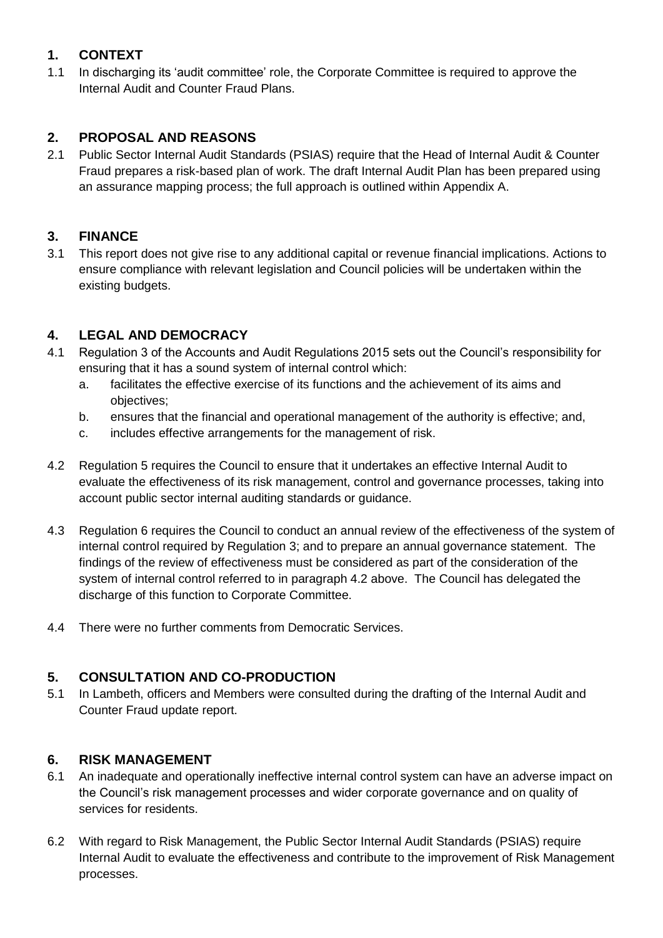## **1. CONTEXT**

1.1 In discharging its 'audit committee' role, the Corporate Committee is required to approve the Internal Audit and Counter Fraud Plans.

## **2. PROPOSAL AND REASONS**

2.1 Public Sector Internal Audit Standards (PSIAS) require that the Head of Internal Audit & Counter Fraud prepares a risk-based plan of work. The draft Internal Audit Plan has been prepared using an assurance mapping process; the full approach is outlined within Appendix A.

## **3. FINANCE**

3.1 This report does not give rise to any additional capital or revenue financial implications. Actions to ensure compliance with relevant legislation and Council policies will be undertaken within the existing budgets.

## **4. LEGAL AND DEMOCRACY**

- 4.1 Regulation 3 of the Accounts and Audit Regulations 2015 sets out the Council's responsibility for ensuring that it has a sound system of internal control which:
	- a. facilitates the effective exercise of its functions and the achievement of its aims and objectives;
	- b. ensures that the financial and operational management of the authority is effective; and,
	- c. includes effective arrangements for the management of risk.
- 4.2 Regulation 5 requires the Council to ensure that it undertakes an effective Internal Audit to evaluate the effectiveness of its risk management, control and governance processes, taking into account public sector internal auditing standards or guidance.
- 4.3 Regulation 6 requires the Council to conduct an annual review of the effectiveness of the system of internal control required by Regulation 3; and to prepare an annual governance statement. The findings of the review of effectiveness must be considered as part of the consideration of the system of internal control referred to in paragraph 4.2 above. The Council has delegated the discharge of this function to Corporate Committee.
- 4.4 There were no further comments from Democratic Services.

## **5. CONSULTATION AND CO-PRODUCTION**

5.1 In Lambeth, officers and Members were consulted during the drafting of the Internal Audit and Counter Fraud update report.

## **6. RISK MANAGEMENT**

- 6.1 An inadequate and operationally ineffective internal control system can have an adverse impact on the Council's risk management processes and wider corporate governance and on quality of services for residents.
- 6.2 With regard to Risk Management, the Public Sector Internal Audit Standards (PSIAS) require Internal Audit to evaluate the effectiveness and contribute to the improvement of Risk Management processes.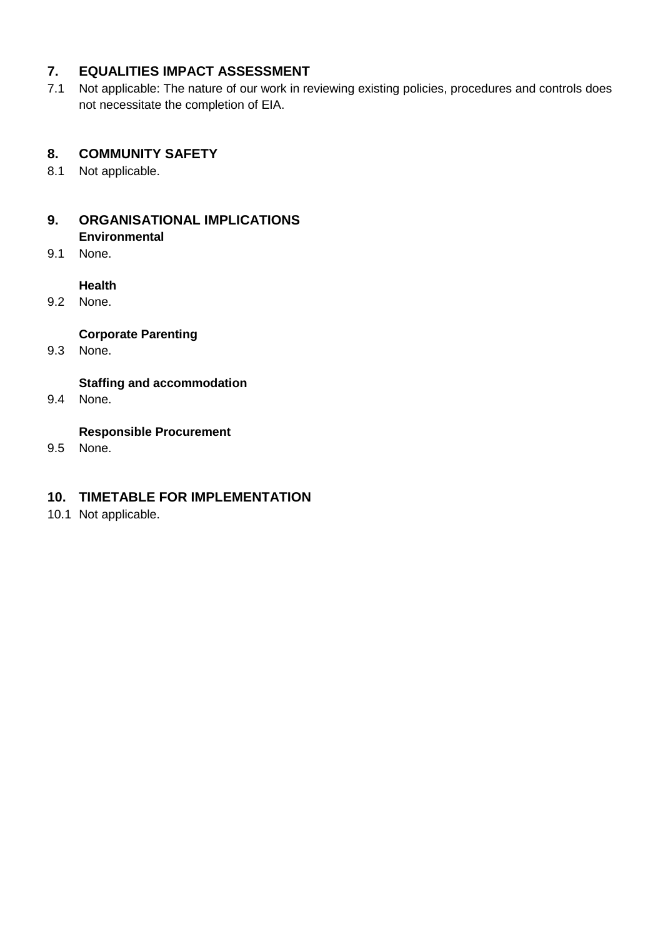### **7. EQUALITIES IMPACT ASSESSMENT**

7.1 Not applicable: The nature of our work in reviewing existing policies, procedures and controls does not necessitate the completion of EIA.

## **8. COMMUNITY SAFETY**

8.1 Not applicable.

# **9. ORGANISATIONAL IMPLICATIONS**

- **Environmental**
- 9.1 None.

#### **Health**

9.2 None.

#### **Corporate Parenting**

9.3 None.

#### **Staffing and accommodation**

9.4 None.

#### **Responsible Procurement**

9.5 None.

### **10. TIMETABLE FOR IMPLEMENTATION**

10.1 Not applicable.